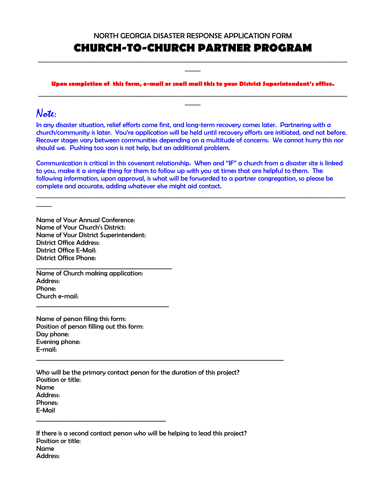#### NORTH GEORGIA DISASTER RESPONSE APPLICATION FORM

### **CHURCH-TO-CHURCH PARTNER PROGRAM** \_\_\_\_\_\_\_\_\_\_\_\_\_\_\_\_\_\_\_\_\_\_\_\_\_\_\_\_\_\_\_\_\_\_\_\_\_\_\_\_\_\_\_\_\_\_\_\_\_\_\_\_\_\_\_\_\_\_\_\_\_\_\_\_\_\_\_\_\_\_\_\_\_\_\_\_\_\_

#### **Upon completion of this form, e-mail or snail mail this to your District Superintendent's office.**  \_\_\_\_\_\_\_\_\_\_\_\_\_\_\_\_\_\_\_\_\_\_\_\_\_\_\_\_\_\_\_\_\_\_\_\_\_\_\_\_\_\_\_\_\_\_\_\_\_\_\_\_\_\_\_\_\_\_\_\_\_\_\_\_\_\_\_\_\_\_\_\_\_\_\_\_\_\_

 $\overline{\phantom{a}}$ 

\_\_\_\_

# Note:

\_\_\_\_

In any disaster situation, relief efforts come first, and long-term recovery comes later. Partnering with a church/community is later. You're application will be held until recovery efforts are initiated, and not before. Recover stages vary between communities depending on a multitude of concerns. We cannot hurry this nor should we. Pushing too soon is not help, but an additional problem.

Communication is critical in this covenant relationship. When and "IF" a church from a disaster site is linked to you, make it a simple thing for them to follow up with you at times that are helpful to them. The following information, upon approval, is what will be forwarded to a partner congregation, so please be complete and accurate, adding whatever else might aid contact.

\_\_\_\_\_\_\_\_\_\_\_\_\_\_\_\_\_\_\_\_\_\_\_\_\_\_\_\_\_\_\_\_\_\_\_\_\_\_\_\_\_\_\_\_\_\_\_\_\_\_\_\_\_\_\_\_\_\_\_\_\_\_\_\_\_\_\_\_\_\_\_\_\_\_\_\_\_\_

Name of Your Annual Conference: Name of Your Church's District: Name of Your District Superintendent: District Office Address: District Office E-Mail: District Office Phone:

Name of Church making application: Address: Phone: Church e-mail: \_\_\_\_\_\_\_\_\_\_\_\_\_\_\_\_\_\_\_\_\_\_\_\_\_\_\_\_\_\_\_\_\_\_\_\_\_\_\_\_\_\_\_\_

\_\_\_\_\_\_\_\_\_\_\_\_\_\_\_\_\_\_\_\_\_\_\_\_\_\_\_\_\_\_\_\_\_\_\_\_\_\_\_\_\_\_\_\_\_

Name of person filing this form: Position of person filling out this form: Day phone: Evening phone: E-mail:

\_\_\_\_\_\_\_\_\_\_\_\_\_\_\_\_\_\_\_\_\_\_\_\_\_\_\_\_\_\_\_\_\_\_\_\_\_\_\_\_\_\_\_

Who will be the primary contact person for the duration of this project? Position or title: Name Address: Phones: E-Mail

\_\_\_\_\_\_\_\_\_\_\_\_\_\_\_\_\_\_\_\_\_\_\_\_\_\_\_\_\_\_\_\_\_\_\_\_\_\_\_\_\_\_\_\_\_\_\_\_\_\_\_\_\_\_\_\_\_\_\_\_\_\_\_\_\_\_\_\_\_\_\_\_\_\_\_\_\_\_\_\_\_\_

If there is a second contact person who will be helping to lead this project? Position or title: Name Address: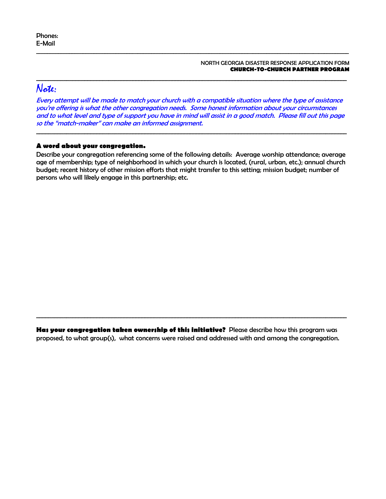#### NORTH GEORGIA DISASTER RESPONSE APPLICATION FORM **CHURCH-TO-CHURCH PARTNER PROGRAM**

# Note:

Every attempt will be made to match your church with a compatible situation where the type of assistance you're offering is what the other congregation needs. Some honest information about your circumstances and to what level and type of support you have in mind will assist in a good match. Please fill out this page so the "match-maker" can make an informed assignment.

\_\_\_\_\_\_\_\_\_\_\_\_\_\_\_\_\_\_\_\_\_\_\_\_\_\_\_\_\_\_\_\_\_\_\_\_\_\_\_\_\_\_\_\_\_\_\_\_\_\_\_\_\_\_\_\_\_\_\_\_\_\_\_\_\_\_\_\_\_\_\_\_\_\_\_\_\_\_\_\_\_\_\_\_\_\_\_\_\_\_\_\_\_\_\_\_\_\_\_\_\_\_\_

\_\_\_\_\_\_\_\_\_\_\_\_\_\_\_\_\_\_\_\_\_\_\_\_\_\_\_\_\_\_\_\_\_\_\_\_\_\_\_\_\_\_\_\_\_\_\_\_\_\_\_\_\_\_\_\_\_\_\_\_\_\_\_\_\_\_\_\_\_\_\_\_\_\_\_\_\_\_\_\_\_\_\_\_\_\_\_\_\_\_\_\_\_\_\_\_\_\_\_\_\_\_\_\_\_\_\_\_\_\_\_\_\_\_

\_\_\_\_\_\_\_\_\_\_\_\_\_\_\_\_\_\_\_\_\_\_\_\_\_\_\_\_\_\_\_\_\_\_\_\_\_\_\_\_\_\_\_\_\_\_\_\_\_\_\_\_\_\_\_\_\_\_\_\_\_\_\_\_\_\_\_\_\_\_\_\_\_\_\_\_\_\_\_\_\_\_\_\_\_\_\_\_\_\_\_\_\_\_\_\_\_\_\_\_\_\_\_

### **A word about your congregation.**

Describe your congregation referencing some of the following details: Average worship attendance; average age of membership; type of neighborhood in which your church is located, (rural, urban, etc.); annual church budget; recent history of other mission efforts that might transfer to this setting; mission budget; number of persons who will likely engage in this partnership; etc.

**Has your congregation taken ownership of this initiative?** Please describe how this program was proposed, to what group(s), what concerns were raised and addressed with and among the congregation.

\_\_\_\_\_\_\_\_\_\_\_\_\_\_\_\_\_\_\_\_\_\_\_\_\_\_\_\_\_\_\_\_\_\_\_\_\_\_\_\_\_\_\_\_\_\_\_\_\_\_\_\_\_\_\_\_\_\_\_\_\_\_\_\_\_\_\_\_\_\_\_\_\_\_\_\_\_\_\_\_\_\_\_\_\_\_\_\_\_\_\_\_\_\_\_\_\_\_\_\_\_\_\_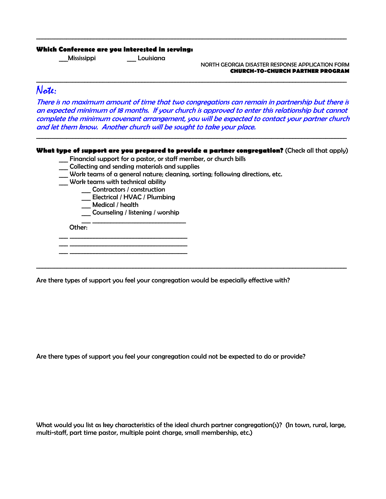#### **Which Conference are you interested in serving:**

\_\_\_Mississippi \_\_\_ Louisiana

NORTH GEORGIA DISASTER RESPONSE APPLICATION FORM **CHURCH-TO-CHURCH PARTNER PROGRAM** 

### Note:

There is no maximum amount of time that two congregations can remain in partnership but there is an expected minimum of 18 months. If your church is approved to enter this relationship but cannot complete the minimum covenant arrangement, you will be expected to contact your partner church and let them know. Another church will be sought to take your place.

\_\_\_\_\_\_\_\_\_\_\_\_\_\_\_\_\_\_\_\_\_\_\_\_\_\_\_\_\_\_\_\_\_\_\_\_\_\_\_\_\_\_\_\_\_\_\_\_\_\_\_\_\_\_\_\_\_\_\_\_\_\_\_\_\_\_\_\_\_\_\_\_\_\_\_\_\_\_\_\_\_\_\_\_\_\_\_\_\_\_\_\_\_\_\_\_\_\_\_\_\_\_\_

\_\_\_\_\_\_\_\_\_\_\_\_\_\_\_\_\_\_\_\_\_\_\_\_\_\_\_\_\_\_\_\_\_\_\_\_\_\_\_\_\_\_\_\_\_\_\_\_\_\_\_\_\_\_\_\_\_\_\_\_\_\_\_\_\_\_\_\_\_\_\_\_\_\_\_\_\_\_\_\_\_\_\_\_\_\_\_\_\_\_\_\_\_\_\_\_\_\_\_\_\_\_\_

#### **What type of support are you prepared to provide a partner congregation?** (Check all that apply)

\_\_\_\_\_\_\_\_\_\_\_\_\_\_\_\_\_\_\_\_\_\_\_\_\_\_\_\_\_\_\_\_\_\_\_\_\_\_\_\_\_\_\_\_\_\_\_\_\_\_\_\_\_\_\_\_\_\_\_\_\_\_\_\_\_\_\_\_\_\_\_\_\_\_\_\_\_\_\_\_\_\_\_\_\_\_\_\_\_\_\_\_\_\_\_\_\_\_\_\_\_\_\_

\_\_\_\_\_\_\_\_\_\_\_\_\_\_\_\_\_\_\_\_\_\_\_\_\_\_\_\_\_\_\_\_\_\_\_\_\_\_\_\_\_\_\_\_\_\_\_\_\_\_\_\_\_\_\_\_\_\_\_\_\_\_\_\_\_\_\_\_\_\_\_\_\_\_\_\_\_\_\_\_\_\_\_\_\_\_\_\_\_\_\_\_\_\_\_\_\_\_\_\_\_\_\_

- \_\_\_ Financial support for a pastor, or staff member, or church bills
- \_\_\_ Collecting and sending materials and supplies
- \_\_\_ Work teams of a general nature; cleaning, sorting; following directions, etc.
- \_\_\_ Work teams with technical ability
	- \_\_\_ Contractors / construction

\_\_\_ \_\_\_\_\_\_\_\_\_\_\_\_\_\_\_\_\_\_\_\_\_\_\_\_\_\_\_\_\_\_\_\_\_\_\_\_\_\_\_

- \_\_\_ Electrical / HVAC / Plumbing
- \_\_\_ Medical / health

 $\overline{\phantom{a}}$  ,  $\overline{\phantom{a}}$  ,  $\overline{\phantom{a}}$  ,  $\overline{\phantom{a}}$  ,  $\overline{\phantom{a}}$  ,  $\overline{\phantom{a}}$  ,  $\overline{\phantom{a}}$  ,  $\overline{\phantom{a}}$  ,  $\overline{\phantom{a}}$  ,  $\overline{\phantom{a}}$  ,  $\overline{\phantom{a}}$  ,  $\overline{\phantom{a}}$  ,  $\overline{\phantom{a}}$  ,  $\overline{\phantom{a}}$  ,  $\overline{\phantom{a}}$  ,  $\overline{\phantom{a}}$  $\overline{\phantom{a}}$  ,  $\overline{\phantom{a}}$  ,  $\overline{\phantom{a}}$  ,  $\overline{\phantom{a}}$  ,  $\overline{\phantom{a}}$  ,  $\overline{\phantom{a}}$  ,  $\overline{\phantom{a}}$  ,  $\overline{\phantom{a}}$  ,  $\overline{\phantom{a}}$  ,  $\overline{\phantom{a}}$  ,  $\overline{\phantom{a}}$  ,  $\overline{\phantom{a}}$  ,  $\overline{\phantom{a}}$  ,  $\overline{\phantom{a}}$  ,  $\overline{\phantom{a}}$  ,  $\overline{\phantom{a}}$ 

Counseling / listening / worship  $\frac{1}{\sqrt{2}}$  ,  $\frac{1}{\sqrt{2}}$  ,  $\frac{1}{\sqrt{2}}$  ,  $\frac{1}{\sqrt{2}}$  ,  $\frac{1}{\sqrt{2}}$  ,  $\frac{1}{\sqrt{2}}$  ,  $\frac{1}{\sqrt{2}}$  ,  $\frac{1}{\sqrt{2}}$  ,  $\frac{1}{\sqrt{2}}$  ,  $\frac{1}{\sqrt{2}}$  ,  $\frac{1}{\sqrt{2}}$  ,  $\frac{1}{\sqrt{2}}$  ,  $\frac{1}{\sqrt{2}}$  ,  $\frac{1}{\sqrt{2}}$  ,  $\frac{1}{\sqrt{2}}$ 

Other:

Are there types of support you feel your congregation would be especially effective with?

Are there types of support you feel your congregation could not be expected to do or provide?

What would you list as key characteristics of the ideal church partner congregation(s)? (In town, rural, large, multi-staff, part time pastor, multiple point charge, small membership, etc.)